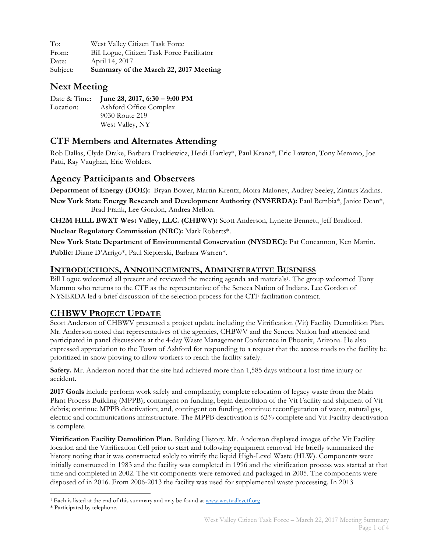To: West Valley Citizen Task Force From: Bill Logue, Citizen Task Force Facilitator Date: April 14, 2017 Subject: **Summary of the March 22, 2017 Meeting**

### **Next Meeting**

|           | Date & Time: June 28, 2017, 6:30 - 9:00 PM |
|-----------|--------------------------------------------|
| Location: | Ashford Office Complex                     |
|           | 9030 Route 219                             |
|           | West Valley, NY                            |

### **CTF Members and Alternates Attending**

Rob Dallas, Clyde Drake, Barbara Frackiewicz, Heidi Hartley\*, Paul Kranz\*, Eric Lawton, Tony Memmo, Joe Patti, Ray Vaughan, Eric Wohlers.

#### **Agency Participants and Observers**

**Department of Energy (DOE):** Bryan Bower, Martin Krentz, Moira Maloney, Audrey Seeley, Zintars Zadins.

**New York State Energy Research and Development Authority (NYSERDA):** Paul Bembia\*, Janice Dean\*, Brad Frank, Lee Gordon, Andrea Mellon.

**CH2M HILL BWXT West Valley, LLC. (CHBWV):** Scott Anderson, Lynette Bennett, Jeff Bradford.

**Nuclear Regulatory Commission (NRC):** Mark Roberts\*.

**New York State Department of Environmental Conservation (NYSDEC):** Pat Concannon, Ken Martin.

**Public:** Diane D'Arrigo\*, Paul Siepierski, Barbara Warren\*.

#### **INTRODUCTIONS, ANNOUNCEMENTS, ADMINISTRATIVE BUSINESS**

Bill Logue welcomed all present and reviewed the meeting agenda and materials1. The group welcomed Tony Memmo who returns to the CTF as the representative of the Seneca Nation of Indians. Lee Gordon of NYSERDA led a brief discussion of the selection process for the CTF facilitation contract.

## **CHBWV PROJECT UPDATE**

Scott Anderson of CHBWV presented a project update including the Vitrification (Vit) Facility Demolition Plan. Mr. Anderson noted that representatives of the agencies, CHBWV and the Seneca Nation had attended and participated in panel discussions at the 4-day Waste Management Conference in Phoenix, Arizona. He also expressed appreciation to the Town of Ashford for responding to a request that the access roads to the facility be prioritized in snow plowing to allow workers to reach the facility safely.

**Safety.** Mr. Anderson noted that the site had achieved more than 1,585 days without a lost time injury or accident.

**2017 Goals** include perform work safely and compliantly; complete relocation of legacy waste from the Main Plant Process Building (MPPB); contingent on funding, begin demolition of the Vit Facility and shipment of Vit debris; continue MPPB deactivation; and, contingent on funding, continue reconfiguration of water, natural gas, electric and communications infrastructure. The MPPB deactivation is 62% complete and Vit Facility deactivation is complete.

**Vitrification Facility Demolition Plan.** Building History. Mr. Anderson displayed images of the Vit Facility location and the Vitrification Cell prior to start and following equipment removal. He briefly summarized the history noting that it was constructed solely to vitrify the liquid High-Level Waste (HLW). Components were initially constructed in 1983 and the facility was completed in 1996 and the vitrification process was started at that time and completed in 2002. The vit components were removed and packaged in 2005. The components were disposed of in 2016. From 2006-2013 the facility was used for supplemental waste processing. In 2013

 <sup>1</sup> Each is listed at the end of this summary and may be found at www.westvalleyctf.org

<sup>\*</sup> Participated by telephone.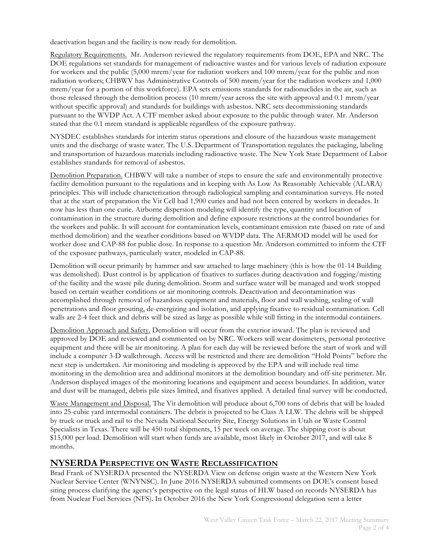deactivation began and the facility is now ready for demolition.

Regulatory Requirements. Mr. Anderson reviewed the regulatory requirements from DOE, EPA and NRC. The DOE regulations set standards for management of radioactive wastes and for various levels of radiation exposure for workers and the public (5,000 mrem/year for radiation workers and 100 mrem/year for the public and non radiation workers; CHBWV has Administrative Controls of 500 mrem/year for the radiation workers and 1,000 mrem/year for a portion of this workforce). EPA sets emissions standards for radionuclides in the air, such as those released through the demolition process (10 mrem/year across the site with approval and 0.1 mrem/year without specific approval) and standards for buildings with asbestos. NRC sets decommissioning standards pursuant to the WVDP Act. A CTF member asked about exposure to the public through water. Mr. Anderson stated that the 0.1 mrem standard is applicable regardless of the exposure pathway.

NYSDEC establishes standards for interim status operations and closure of the hazardous waste management units and the discharge of waste water. The U.S. Department of Transportation regulates the packaging, labeling and transportation of hazardous materials including radioactive waste. The New York State Department of Labor establishes standards for removal of asbestos.

Demolition Preparation. CHBWV will take a number of steps to ensure the safe and environmentally protective facility demolition pursuant to the regulations and in keeping with As Low As Reasonably Achievable (ALARA) principles. This will include characterization through radiological sampling and contamination surveys. He noted that at the start of preparation the Vit Cell had 1,900 curies and had not been entered by workers in decades. It now has less than one curie. Airborne dispersion modeling will identify the type, quantity and location of contamination in the structure during demolition and define exposure restrictions at the control boundaries for the workers and public. It will account for contamination levels, contaminant emission rate (based on rate of and method demolition) and the weather conditions based on WVDP data. The AERMOD model will be used for worker dose and CAP-88 for public dose. In response to a question Mr. Anderson committed to inform the CTF of the exposure pathways, particularly water, modeled in CAP-88.

Demolition will occur primarily by hammer and saw attached to large machinery (this is how the 01-14 Building was demolished). Dust control is by application of fixatives to surfaces during deactivation and fogging/misting of the facility and the waste pile during demolition. Storm and surface water will be managed and work stopped based on certain weather conditions or air monitoring controls. Deactivation and decontamination was accomplished through removal of hazardous equipment and materials, floor and wall washing, sealing of wall penetrations and floor grouting, de-energizing and isolation, and applying fixative to residual contamination. Cell walls are 2-4 feet thick and debris will be sized as large as possible while still fitting in the intermodal containers.

Demolition Approach and Safety. Demolition will occur from the exterior inward. The plan is reviewed and approved by DOE and reviewed and commented on by NRC. Workers will wear dosimeters, personal protective equipment and there will be air monitoring. A plan for each day will be reviewed before the start of work and will include a computer 3-D walkthrough. Access will be restricted and there are demolition "Hold Points" before the next step is undertaken. Air monitoring and modeling is approved by the EPA and will include real time monitoring in the demolition area and additional monitors at the demolition boundary and off-site perimeter. Mr. Anderson displayed images of the monitoring locations and equipment and access boundaries. In addition, water and dust will be managed, debris pile sizes limited, and fixatives applied. A detailed final survey will be conducted.

Waste Management and Disposal. The Vit demolition will produce about 6,700 tons of debris that will be loaded into 25-cubic yard intermodal containers. The debris is projected to be Class A LLW. The debris will be shipped by truck or truck and rail to the Nevada National Security Site, Energy Solutions in Utah or Waste Control Specialists in Texas. There will be 450 total shipments, 15 per week on average. The shipping cost is about \$15,000 per load. Demolition will start when funds are available, most likely in October 2017, and will take 8 months.

#### **NYSERDA PERSPECTIVE ON WASTE RECLASSIFICATION**

Brad Frank of NYSERDA presented the NYSERDA View on defense origin waste at the Western New York Nuclear Service Center (WNYNSC). In June 2016 NYSERDA submitted comments on DOE's consent based siting process clarifying the agency's perspective on the legal status of HLW based on records NYSERDA has from Nuclear Fuel Services (NFS). In October 2016 the New York Congressional delegation sent a letter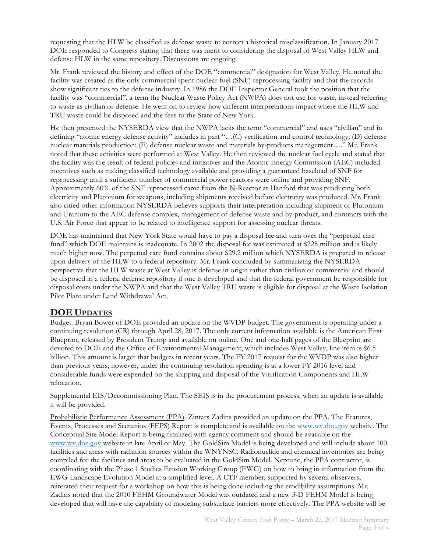requesting that the HLW be classified as defense waste to correct a historical misclassification. In January 2017 DOE responded to Congress stating that there was merit to considering the disposal of West Valley HLW and defense HLW in the same repository. Discussions are ongoing.

Mr. Frank reviewed the history and effect of the DOE "commercial" designation for West Valley. He noted the facility was created as the only commercial spent nuclear fuel (SNF) reprocessing facility and that the records show significant ties to the defense industry. In 1986 the DOE Inspector General took the position that the facility was "commercial", a term the Nuclear Waste Policy Act (NWPA) does not use for waste, instead referring to waste as civilian or defense. He went on to review how different interpretations impact where the HLW and TRU waste could be disposed and the fees to the State of New York.

He then presented the NYSERDA view that the NWPA lacks the term "commercial" and uses "civilian" and in defining "atomic energy defense activity" includes in part "…(C) verification and control technology; (D) defense nuclear materials production; (E) defense nuclear waste and materials by-products management…." Mr. Frank noted that these activities were performed at West Valley. He then reviewed the nuclear fuel cycle and stated that the facility was the result of federal policies and initiatives and the Atomic Energy Commission (AEC) included incentives such as making classified technology available and providing a guaranteed baseload of SNF for reprocessing until a sufficient number of commercial power reactors were online and providing SNF. Approximately 60% of the SNF reprocessed came from the N-Reactor at Hanford that was producing both electricity and Plutonium for weapons, including shipments received before electricity was produced. Mr. Frank also citied other information NYSERDA believes supports their interpretation including shipment of Plutonium and Uranium to the AEC defense complex, management of defense waste and by-product, and contracts with the U.S. Air Force that appear to be related to intelligence support for assessing nuclear threats.

DOE has maintained that New York State would have to pay a disposal fee and turn over the "perpetual care fund" which DOE maintains is inadequate. In 2002 the disposal fee was estimated at \$228 million and is likely much higher now. The perpetual care fund contains about \$29.2 million which NYSERDA is prepared to release upon delivery of the HLW to a federal repository. Mr. Frank concluded by summarizing the NYSERDA perspective that the HLW waste at West Valley is defense in origin rather than civilian or commercial and should be disposed in a federal defense repository if one is developed and that the federal government be responsible for disposal costs under the NWPA and that the West Valley TRU waste is eligible for disposal at the Waste Isolation Pilot Plant under Land Withdrawal Act.

#### **DOE UPDATES**

Budget. Bryan Bower of DOE provided an update on the WVDP budget. The government is operating under a continuing resolution (CR) through April 28, 2017. The only current information available is the American First Blueprint, released by President Trump and available on online. One and one-half pages of the Blueprint are devoted to DOE and the Office of Environmental Management, which includes West Valley, line item is \$6.5 billion. This amount is larger that budgets in recent years. The FY 2017 request for the WVDP was also higher than previous years; however, under the continuing resolution spending is at a lower FY 2016 level and considerable funds were expended on the shipping and disposal of the Vitrification Components and HLW relocation.

Supplemental EIS/Decommissioning Plan. The SEIS is in the procurement process, when an update is available it will be provided.

Probabilistic Performance Assessment (PPA). Zintars Zadins provided an update on the PPA. The Features, Events, Processes and Scenarios (FEPS) Report is complete and is available on the www.wv.doe.gov website. The Conceptual Site Model Report is being finalized with agency comment and should be available on the www.wv.doe.gov website in late April or May. The GoldSim Model is being developed and will include about 100 facilities and areas with radiation sources within the WNYNSC. Radionuclide and chemical inventories are being compiled for the facilities and areas to be evaluated in the GoldSim Model. Neptune, the PPA contractor, is coordinating with the Phase 1 Studies Erosion Working Group (EWG) on how to bring in information from the EWG Landscape Evolution Model at a simplified level. A CTF member, supported by several observers, reiterated their request for a workshop on how this is being done including the erodibility assumptions. Mr. Zadins noted that the 2010 FEHM Groundwater Model was outdated and a new 3-D FEHM Model is being developed that will have the capability of modeling subsurface barriers more effectively. The PPA website will be